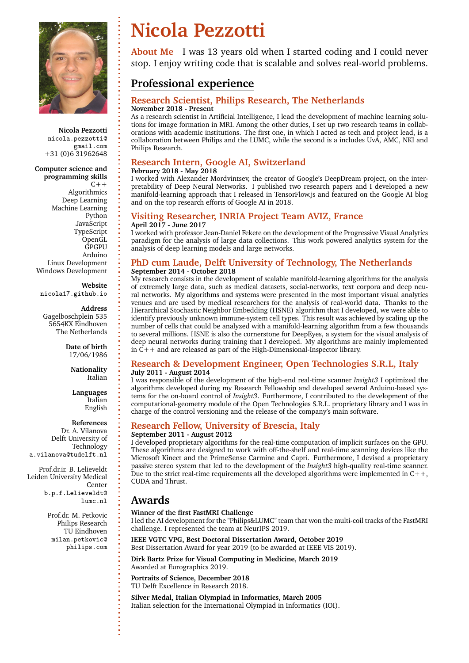

**Nicola Pezzotti** nicola.pezzotti@ gmail.com +31 (0)6 31962648

**Computer science and programming skills**  $C++$ Algorithmics Deep Learning Machine Learning Python JavaScript TypeScript OpenGL **GPGPU** Arduino Linux Development Windows Development

**Website** nicola17.github.io

**Address** Gagelboschplein 535 5654KX Eindhoven The Netherlands

> **Date of birth** 17/06/1986

> > **Nationality** Italian

**Languages** Italian English

**References**

Dr. A. Vilanova Delft University of Technology a.vilanova@tudelft.nl

Prof.dr.ir. B. Lelieveldt Leiden University Medical Center b.p.f.Lelieveldt@ lumc.nl

> Prof.dr. M. Petkovic Philips Research TU Eindhoven milan.petkovic@ philips.com

# **Nicola Pezzotti**

**About Me** I was 13 years old when I started coding and I could never stop. I enjoy writing code that is scalable and solves real-world problems.

## **Professional experience**

### **Research Scientist, Philips Research, The Netherlands November 2018 - Present**

As a research scientist in Artificial Intelligence, I lead the development of machine learning solutions for image formation in MRI. Among the other duties, I set up two research teams in collaborations with academic institutions. The first one, in which I acted as tech and project lead, is a collaboration between Philips and the LUMC, while the second is a includes UvA, AMC, NKI and Philips Research.

### **Research Intern, Google AI, Switzerland**

### **February 2018 - May 2018**

I worked with Alexander Mordvintsev, the creator of Google's DeepDream project, on the interpretability of Deep Neural Networks. I published two research papers and I developed a new manifold-learning approach that I released in TensorFlow.js and featured on the Google AI blog and on the top research efforts of Google AI in 2018.

### **Visiting Researcher, INRIA Project Team AVIZ, France April 2017 - June 2017**

I worked with professor Jean-Daniel Fekete on the development of the Progressive Visual Analytics paradigm for the analysis of large data collections. This work powered analytics system for the analysis of deep learning models and large networks.

### **PhD cum Laude, Delft University of Technology, The Netherlands September 2014 - October 2018**

My research consists in the development of scalable manifold-learning algorithms for the analysis of extremely large data, such as medical datasets, social-networks, text corpora and deep neural networks. My algorithms and systems were presented in the most important visual analytics venues and are used by medical researchers for the analysis of real-world data. Thanks to the Hierarchical Stochastic Neighbor Embedding (HSNE) algorithm that I developed, we were able to identify previously unknown immune-system cell types. This result was achieved by scaling up the number of cells that could be analyzed with a manifold-learning algorithm from a few thousands to several millions. HSNE is also the cornerstone for DeepEyes, a system for the visual analysis of deep neural networks during training that I developed. My algorithms are mainly implemented in  $\tilde{C}$ ++ and are released as part of the High-Dimensional-Inspector library.

### **Research & Development Engineer, Open Technologies S.R.L, Italy July 2011 - August 2014**

I was responsible of the development of the high-end real-time scanner *Insight3* I optimized the algorithms developed during my Research Fellowship and developed several Arduino-based systems for the on-board control of *Insight3*. Furthermore, I contributed to the development of the computational-geometry module of the Open Technologies S.R.L. proprietary library and I was in charge of the control versioning and the release of the company's main software.

# **Research Fellow, University of Brescia, Italy**

### **September 2011 - August 2012**

I developed proprietary algorithms for the real-time computation of implicit surfaces on the GPU. These algorithms are designed to work with off-the-shelf and real-time scanning devices like the Microsoft Kinect and the PrimeSense Carmine and Capri. Furthermore, I devised a proprietary passive stereo system that led to the development of the *Insight3* high-quality real-time scanner. Due to the strict real-time requirements all the developed algorithms were implemented in  $C++$ , CUDA and Thrust.

### **Awards**

#### **Winner of the first FastMRI Challenge**

I led the AI development for the "Philips&LUMC" team that won the multi-coil tracks of the FastMRI challenge. I represented the team at NeurIPS 2019.

**IEEE VGTC VPG, Best Doctoral Dissertation Award, October 2019** Best Dissertation Award for year 2019 (to be awarded at IEEE VIS 2019).

**Dirk Bartz Prize for Visual Computing in Medicine, March 2019** Awarded at Eurographics 2019.

**Portraits of Science, December 2018** TU Delft Excellence in Research 2018.

**Silver Medal, Italian Olympiad in Informatics, March 2005** Italian selection for the International Olympiad in Informatics (IOI).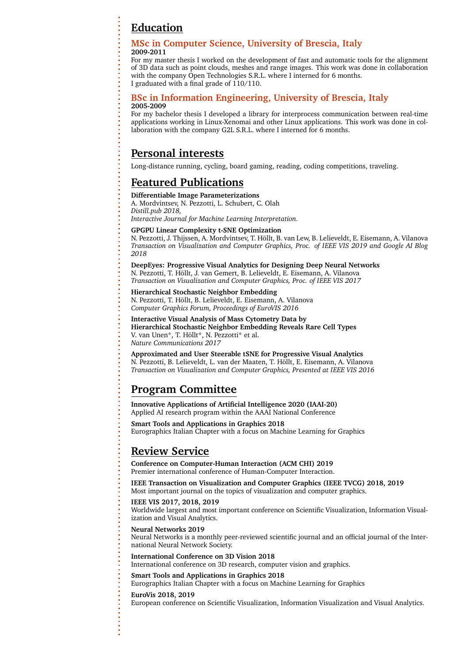# **Education**

#### **MSc in Computer Science, University of Brescia, Italy 2009-2011**

For my master thesis I worked on the development of fast and automatic tools for the alignment of 3D data such as point clouds, meshes and range images. This work was done in collaboration with the company Open Technologies S.R.L. where I interned for 6 months. I graduated with a final grade of 110/110.

#### **BSc in Information Engineering, University of Brescia, Italy 2005-2009**

For my bachelor thesis I developed a library for interprocess communication between real-time applications working in Linux-Xenomai and other Linux applications. This work was done in collaboration with the company G2L S.R.L. where I interned for 6 months.

### **Personal interests**

Long-distance running, cycling, board gaming, reading, coding competitions, traveling.

## **Featured Publications**

#### **Differentiable Image Parameterizations**

A. Mordvintsev, N. Pezzotti, L. Schubert, C. Olah *Distill.pub 2018,*

*Interactive Journal for Machine Learning Interpretation.*

#### **GPGPU Linear Complexity t-SNE Optimization**

N. Pezzotti, J. Thijssen, A. Mordvintsev, T. Höllt, B. van Lew, B. Lelieveldt, E. Eisemann, A. Vilanova *Transaction on Visualization and Computer Graphics, Proc. of IEEE VIS 2019 and Google AI Blog 2018*

**DeepEyes: Progressive Visual Analytics for Designing Deep Neural Networks** N. Pezzotti, T. Höllt, J. van Gemert, B. Lelieveldt, E. Eisemann, A. Vilanova *Transaction on Visualization and Computer Graphics, Proc. of IEEE VIS 2017*

#### **Hierarchical Stochastic Neighbor Embedding**

N. Pezzotti, T. Höllt, B. Lelieveldt, E. Eisemann, A. Vilanova *Computer Graphics Forum, Proceedings of EuroVIS 2016*

**Interactive Visual Analysis of Mass Cytometry Data by Hierarchical Stochastic Neighbor Embedding Reveals Rare Cell Types** V. van Unen\*, T. Höllt\*, N. Pezzotti\* et al. *Nature Communications 2017*

#### **Approximated and User Steerable tSNE for Progressive Visual Analytics**

N. Pezzotti, B. Lelieveldt, L. van der Maaten, T. Höllt, E. Eisemann, A. Vilanova *Transaction on Visualization and Computer Graphics, Presented at IEEE VIS 2016*

# **Program Committee**

**Innovative Applications of Artificial Intelligence 2020 (IAAI-20)** Applied AI research program within the AAAI National Conference

**Smart Tools and Applications in Graphics 2018** Eurographics Italian Chapter with a focus on Machine Learning for Graphics

## **Review Service**

**Conference on Computer-Human Interaction (ACM CHI) 2019** Premier international conference of Human-Computer Interaction.

**IEEE Transaction on Visualization and Computer Graphics (IEEE TVCG) 2018, 2019** Most important journal on the topics of visualization and computer graphics.

#### **IEEE VIS 2017, 2018, 2019**

Worldwide largest and most important conference on Scientific Visualization, Information Visualization and Visual Analytics.

#### **Neural Networks 2019**

Neural Networks is a monthly peer-reviewed scientific journal and an official journal of the International Neural Network Society.

#### **International Conference on 3D Vision 2018**

International conference on 3D research, computer vision and graphics.

#### **Smart Tools and Applications in Graphics 2018**

Eurographics Italian Chapter with a focus on Machine Learning for Graphics

#### **EuroVis 2018, 2019**

European conference on Scientific Visualization, Information Visualization and Visual Analytics.